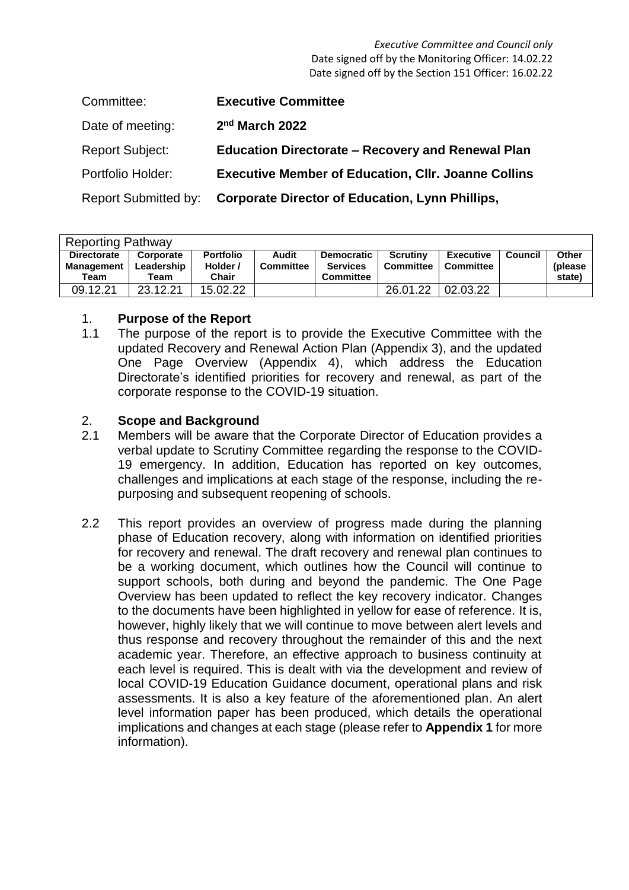*Executive Committee and Council only* Date signed off by the Monitoring Officer: 14.02.22 Date signed off by the Section 151 Officer: 16.02.22

| Committee:                  | <b>Executive Committee</b>                                 |
|-----------------------------|------------------------------------------------------------|
| Date of meeting:            | 2 <sup>nd</sup> March 2022                                 |
| <b>Report Subject:</b>      | <b>Education Directorate - Recovery and Renewal Plan</b>   |
| Portfolio Holder:           | <b>Executive Member of Education, Cllr. Joanne Collins</b> |
| <b>Report Submitted by:</b> | <b>Corporate Director of Education, Lynn Phillips,</b>     |

| <b>Reporting Pathway</b>                        |                                 |                                       |                           |                                                          |                              |                        |         |                             |  |  |
|-------------------------------------------------|---------------------------------|---------------------------------------|---------------------------|----------------------------------------------------------|------------------------------|------------------------|---------|-----------------------------|--|--|
| <b>Directorate</b><br><b>Management</b><br>Team | Corporate<br>Leadership<br>Team | <b>Portfolio</b><br>Holder /<br>Chair | Audit<br><b>Committee</b> | <b>Democratic</b><br><b>Services</b><br><b>Committee</b> | <b>Scrutiny</b><br>Committee | Executive<br>Committee | Council | Other<br>(please)<br>state) |  |  |
| 09.12.21                                        | 23.12.21                        | 15.02.22                              |                           |                                                          | 26.01.22                     | 02.03.22               |         |                             |  |  |

#### 1. **Purpose of the Report**

1.1 The purpose of the report is to provide the Executive Committee with the updated Recovery and Renewal Action Plan (Appendix 3), and the updated One Page Overview (Appendix 4), which address the Education Directorate's identified priorities for recovery and renewal, as part of the corporate response to the COVID-19 situation.

## 2. **Scope and Background**

- 2.1 Members will be aware that the Corporate Director of Education provides a verbal update to Scrutiny Committee regarding the response to the COVID-19 emergency. In addition, Education has reported on key outcomes, challenges and implications at each stage of the response, including the repurposing and subsequent reopening of schools.
- 2.2 This report provides an overview of progress made during the planning phase of Education recovery, along with information on identified priorities for recovery and renewal. The draft recovery and renewal plan continues to be a working document, which outlines how the Council will continue to support schools, both during and beyond the pandemic. The One Page Overview has been updated to reflect the key recovery indicator. Changes to the documents have been highlighted in yellow for ease of reference. It is, however, highly likely that we will continue to move between alert levels and thus response and recovery throughout the remainder of this and the next academic year. Therefore, an effective approach to business continuity at each level is required. This is dealt with via the development and review of local COVID-19 Education Guidance document, operational plans and risk assessments. It is also a key feature of the aforementioned plan. An alert level information paper has been produced, which details the operational implications and changes at each stage (please refer to **Appendix 1** for more information).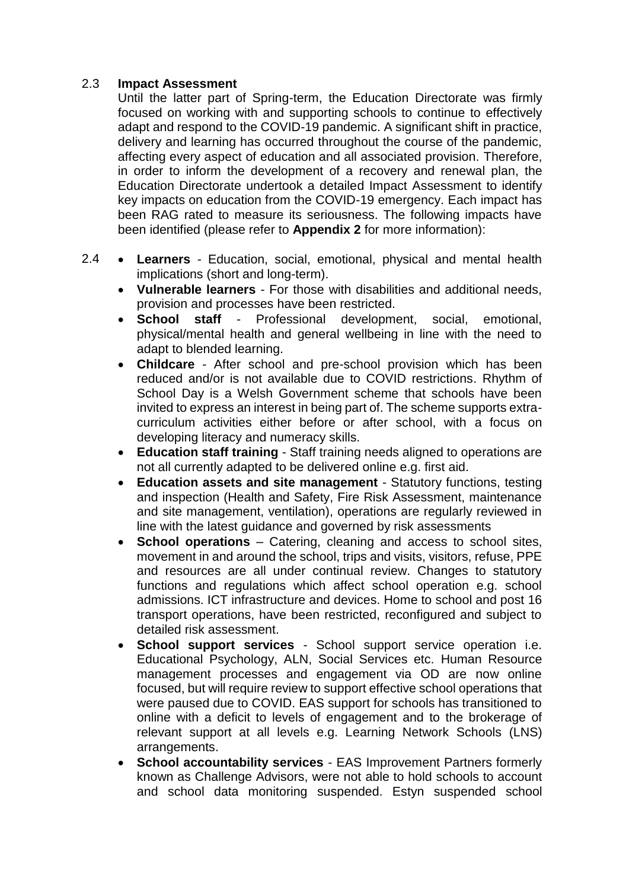#### 2.3 **Impact Assessment**

Until the latter part of Spring-term, the Education Directorate was firmly focused on working with and supporting schools to continue to effectively adapt and respond to the COVID-19 pandemic. A significant shift in practice, delivery and learning has occurred throughout the course of the pandemic, affecting every aspect of education and all associated provision. Therefore, in order to inform the development of a recovery and renewal plan, the Education Directorate undertook a detailed Impact Assessment to identify key impacts on education from the COVID-19 emergency. Each impact has been RAG rated to measure its seriousness. The following impacts have been identified (please refer to **Appendix 2** for more information):

- 2.4 **Learners** - Education, social, emotional, physical and mental health implications (short and long-term).
	- **Vulnerable learners** For those with disabilities and additional needs, provision and processes have been restricted.
	- **School staff** Professional development, social, emotional, physical/mental health and general wellbeing in line with the need to adapt to blended learning.
	- **Childcare** After school and pre-school provision which has been reduced and/or is not available due to COVID restrictions. Rhythm of School Day is a Welsh Government scheme that schools have been invited to express an interest in being part of. The scheme supports extracurriculum activities either before or after school, with a focus on developing literacy and numeracy skills.
	- **Education staff training** Staff training needs aligned to operations are not all currently adapted to be delivered online e.g. first aid.
	- **Education assets and site management** Statutory functions, testing and inspection (Health and Safety, Fire Risk Assessment, maintenance and site management, ventilation), operations are regularly reviewed in line with the latest guidance and governed by risk assessments
	- **School operations** Catering, cleaning and access to school sites, movement in and around the school, trips and visits, visitors, refuse, PPE and resources are all under continual review. Changes to statutory functions and regulations which affect school operation e.g. school admissions. ICT infrastructure and devices. Home to school and post 16 transport operations, have been restricted, reconfigured and subject to detailed risk assessment.
	- **School support services** School support service operation i.e. Educational Psychology, ALN, Social Services etc. Human Resource management processes and engagement via OD are now online focused, but will require review to support effective school operations that were paused due to COVID. EAS support for schools has transitioned to online with a deficit to levels of engagement and to the brokerage of relevant support at all levels e.g. Learning Network Schools (LNS) arrangements.
	- **School accountability services** EAS Improvement Partners formerly known as Challenge Advisors, were not able to hold schools to account and school data monitoring suspended. Estyn suspended school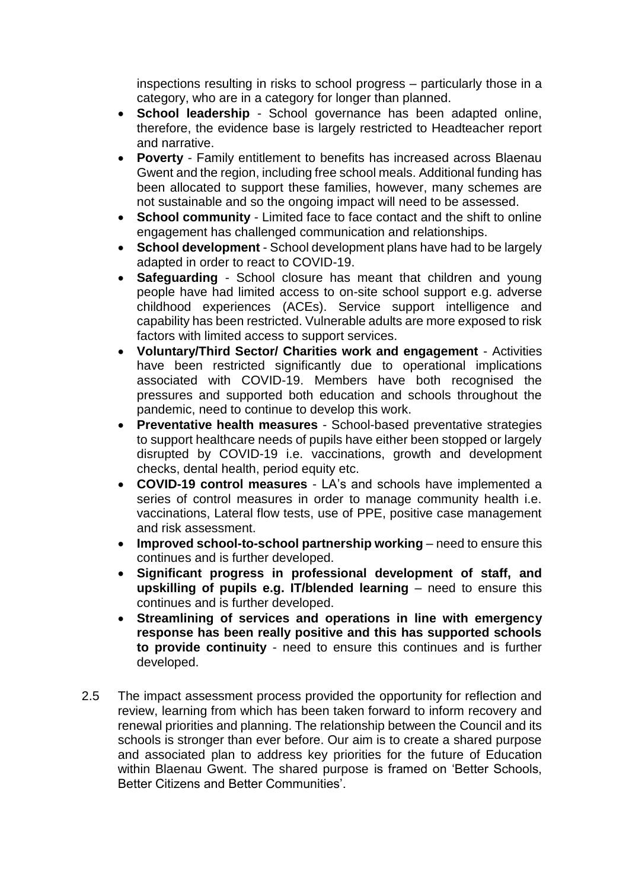inspections resulting in risks to school progress – particularly those in a category, who are in a category for longer than planned.

- **School leadership** School governance has been adapted online, therefore, the evidence base is largely restricted to Headteacher report and narrative.
- **Poverty** Family entitlement to benefits has increased across Blaenau Gwent and the region, including free school meals. Additional funding has been allocated to support these families, however, many schemes are not sustainable and so the ongoing impact will need to be assessed.
- **School community** Limited face to face contact and the shift to online engagement has challenged communication and relationships.
- **School development** School development plans have had to be largely adapted in order to react to COVID-19.
- **Safeguarding** School closure has meant that children and young people have had limited access to on-site school support e.g. adverse childhood experiences (ACEs). Service support intelligence and capability has been restricted. Vulnerable adults are more exposed to risk factors with limited access to support services.
- **Voluntary/Third Sector/ Charities work and engagement** Activities have been restricted significantly due to operational implications associated with COVID-19. Members have both recognised the pressures and supported both education and schools throughout the pandemic, need to continue to develop this work.
- **Preventative health measures** School-based preventative strategies to support healthcare needs of pupils have either been stopped or largely disrupted by COVID-19 i.e. vaccinations, growth and development checks, dental health, period equity etc.
- **COVID-19 control measures** LA's and schools have implemented a series of control measures in order to manage community health i.e. vaccinations, Lateral flow tests, use of PPE, positive case management and risk assessment.
- **Improved school-to-school partnership working** need to ensure this continues and is further developed.
- **Significant progress in professional development of staff, and upskilling of pupils e.g. IT/blended learning** – need to ensure this continues and is further developed.
- **Streamlining of services and operations in line with emergency response has been really positive and this has supported schools to provide continuity** - need to ensure this continues and is further developed.
- 2.5 The impact assessment process provided the opportunity for reflection and review, learning from which has been taken forward to inform recovery and renewal priorities and planning. The relationship between the Council and its schools is stronger than ever before. Our aim is to create a shared purpose and associated plan to address key priorities for the future of Education within Blaenau Gwent. The shared purpose is framed on 'Better Schools, Better Citizens and Better Communities'.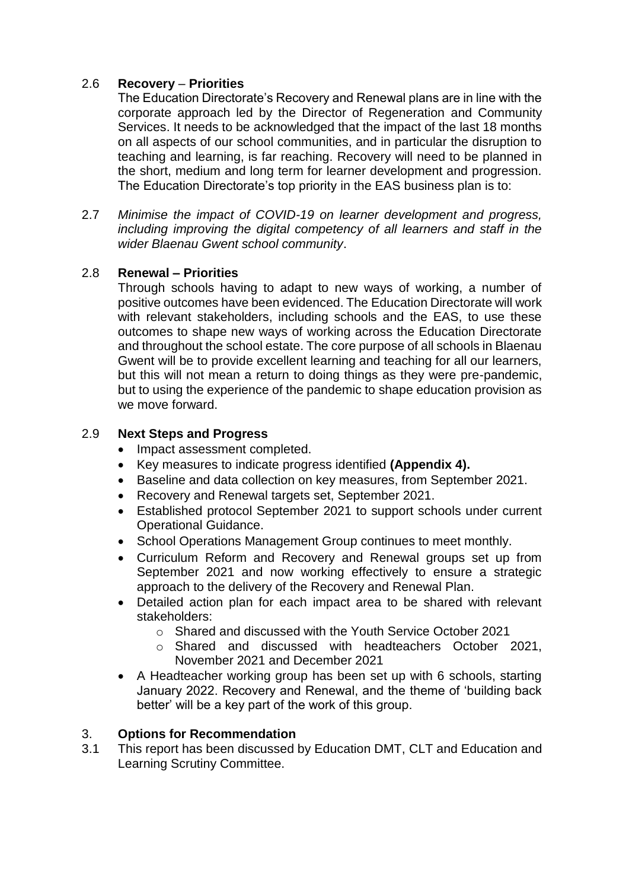#### 2.6 **Recovery** – **Priorities**

The Education Directorate's Recovery and Renewal plans are in line with the corporate approach led by the Director of Regeneration and Community Services. It needs to be acknowledged that the impact of the last 18 months on all aspects of our school communities, and in particular the disruption to teaching and learning, is far reaching. Recovery will need to be planned in the short, medium and long term for learner development and progression. The Education Directorate's top priority in the EAS business plan is to:

2.7 *Minimise the impact of COVID-19 on learner development and progress, including improving the digital competency of all learners and staff in the wider Blaenau Gwent school community*.

## 2.8 **Renewal – Priorities**

Through schools having to adapt to new ways of working, a number of positive outcomes have been evidenced. The Education Directorate will work with relevant stakeholders, including schools and the EAS, to use these outcomes to shape new ways of working across the Education Directorate and throughout the school estate. The core purpose of all schools in Blaenau Gwent will be to provide excellent learning and teaching for all our learners, but this will not mean a return to doing things as they were pre-pandemic, but to using the experience of the pandemic to shape education provision as we move forward.

#### 2.9 **Next Steps and Progress**

- Impact assessment completed.
- Key measures to indicate progress identified **(Appendix 4).**
- Baseline and data collection on key measures, from September 2021.
- Recovery and Renewal targets set, September 2021.
- Established protocol September 2021 to support schools under current Operational Guidance.
- School Operations Management Group continues to meet monthly.
- Curriculum Reform and Recovery and Renewal groups set up from September 2021 and now working effectively to ensure a strategic approach to the delivery of the Recovery and Renewal Plan.
- Detailed action plan for each impact area to be shared with relevant stakeholders:
	- o Shared and discussed with the Youth Service October 2021
	- o Shared and discussed with headteachers October 2021, November 2021 and December 2021
- A Headteacher working group has been set up with 6 schools, starting January 2022. Recovery and Renewal, and the theme of 'building back better' will be a key part of the work of this group.

## 3. **Options for Recommendation**

3.1 This report has been discussed by Education DMT, CLT and Education and Learning Scrutiny Committee.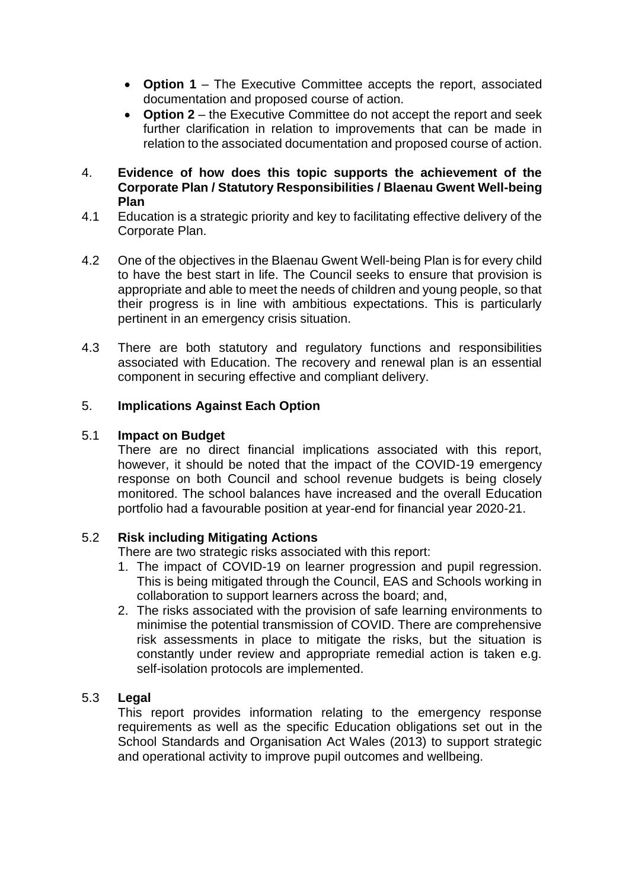- **Option 1** The Executive Committee accepts the report, associated documentation and proposed course of action.
- **Option 2** the Executive Committee do not accept the report and seek further clarification in relation to improvements that can be made in relation to the associated documentation and proposed course of action.
- 4. **Evidence of how does this topic supports the achievement of the Corporate Plan / Statutory Responsibilities / Blaenau Gwent Well-being Plan**
- 4.1 Education is a strategic priority and key to facilitating effective delivery of the Corporate Plan.
- 4.2 One of the objectives in the Blaenau Gwent Well-being Plan is for every child to have the best start in life. The Council seeks to ensure that provision is appropriate and able to meet the needs of children and young people, so that their progress is in line with ambitious expectations. This is particularly pertinent in an emergency crisis situation.
- 4.3 There are both statutory and regulatory functions and responsibilities associated with Education. The recovery and renewal plan is an essential component in securing effective and compliant delivery.

## 5. **Implications Against Each Option**

#### 5.1 **Impact on Budget**

There are no direct financial implications associated with this report, however, it should be noted that the impact of the COVID-19 emergency response on both Council and school revenue budgets is being closely monitored. The school balances have increased and the overall Education portfolio had a favourable position at year-end for financial year 2020-21.

#### 5.2 **Risk including Mitigating Actions**

There are two strategic risks associated with this report:

- 1. The impact of COVID-19 on learner progression and pupil regression. This is being mitigated through the Council, EAS and Schools working in collaboration to support learners across the board; and,
- 2. The risks associated with the provision of safe learning environments to minimise the potential transmission of COVID. There are comprehensive risk assessments in place to mitigate the risks, but the situation is constantly under review and appropriate remedial action is taken e.g. self-isolation protocols are implemented.

#### 5.3 **Legal**

This report provides information relating to the emergency response requirements as well as the specific Education obligations set out in the School Standards and Organisation Act Wales (2013) to support strategic and operational activity to improve pupil outcomes and wellbeing.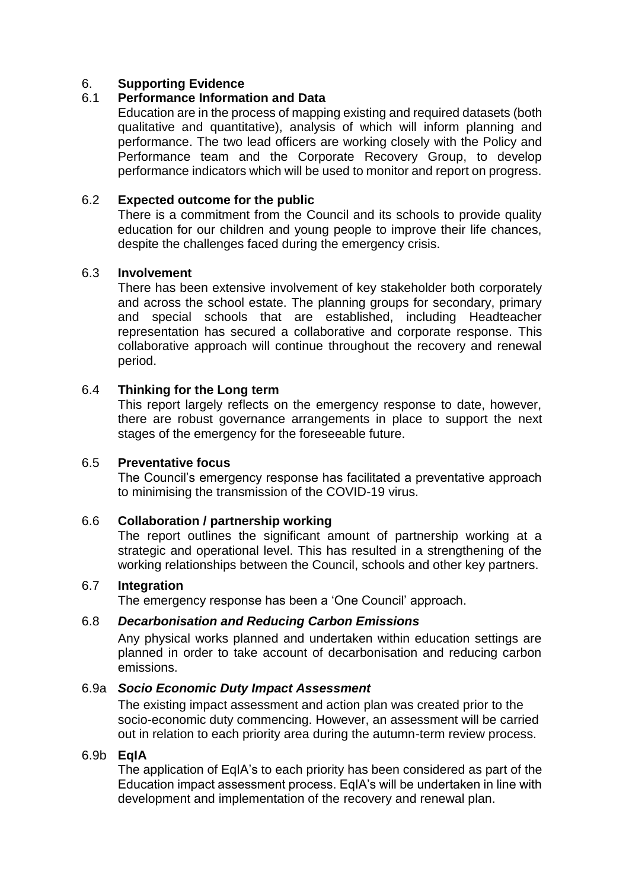#### 6. **Supporting Evidence**

#### 6.1 **Performance Information and Data**

Education are in the process of mapping existing and required datasets (both qualitative and quantitative), analysis of which will inform planning and performance. The two lead officers are working closely with the Policy and Performance team and the Corporate Recovery Group, to develop performance indicators which will be used to monitor and report on progress.

#### 6.2 **Expected outcome for the public**

There is a commitment from the Council and its schools to provide quality education for our children and young people to improve their life chances, despite the challenges faced during the emergency crisis.

#### 6.3 **Involvement**

There has been extensive involvement of key stakeholder both corporately and across the school estate. The planning groups for secondary, primary and special schools that are established, including Headteacher representation has secured a collaborative and corporate response. This collaborative approach will continue throughout the recovery and renewal period.

#### 6.4 **Thinking for the Long term**

This report largely reflects on the emergency response to date, however, there are robust governance arrangements in place to support the next stages of the emergency for the foreseeable future.

#### 6.5 **Preventative focus**

The Council's emergency response has facilitated a preventative approach to minimising the transmission of the COVID-19 virus.

#### 6.6 **Collaboration / partnership working**

The report outlines the significant amount of partnership working at a strategic and operational level. This has resulted in a strengthening of the working relationships between the Council, schools and other key partners.

#### 6.7 **Integration**

The emergency response has been a 'One Council' approach.

#### 6.8 *Decarbonisation and Reducing Carbon Emissions*

Any physical works planned and undertaken within education settings are planned in order to take account of decarbonisation and reducing carbon emissions.

#### 6.9a *Socio Economic Duty Impact Assessment*

The existing impact assessment and action plan was created prior to the socio-economic duty commencing. However, an assessment will be carried out in relation to each priority area during the autumn-term review process.

#### 6.9b **EqIA**

The application of EqIA's to each priority has been considered as part of the Education impact assessment process. EqIA's will be undertaken in line with development and implementation of the recovery and renewal plan.